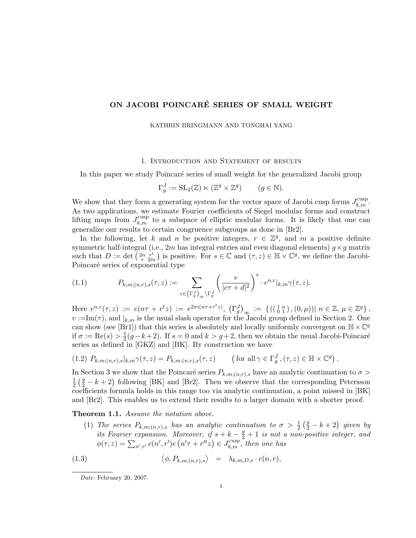# ON JACOBI POINCARÉ SERIES OF SMALL WEIGHT

#### KATHRIN BRINGMANN AND TONGHAI YANG

#### 1. Introduction and Statement of results

In this paper we study Poincaré series of small weight for the generalized Jacobi group

$$
\Gamma_g^J := \mathrm{SL}_2(\mathbb{Z}) \ltimes (\mathbb{Z}^g \times \mathbb{Z}^g) \qquad (g \in \mathbb{N}).
$$

We show that they form a generating system for the vector space of Jacobi cusp forms  $J_{k,m}^{\text{cusp}}$ . As two applications, we estimate Fourier coefficients of Siegel modular forms and construct lifting maps from  $J_{k,m}^{\text{cusp}}$  to a subspace of elliptic modular forms. It is likely that one can generalize our results to certain congruence subgroups as done in [Br2].

In the following, let k and n be positive integers,  $r \in \mathbb{Z}^g$ , and m a positive definite symmetric half-integral (i.e.,  $2m$  has integral entries and even diagonal elements)  $g \times g$  matrix such that  $D := \det \left( \begin{matrix} 2n & r^t \\ r & 2m \end{matrix} \right)$  is positive. For  $s \in \mathbb{C}$  and  $(\tau, z) \in \mathbb{H} \times \mathbb{C}^g$ , we define the Jacobi-Poincaré series of exponential type

(1.1) 
$$
P_{k,m;(n,r),s}(\tau,z) := \sum_{\gamma \in (\Gamma_g^J)_{\infty} \backslash \Gamma_g^J} \left( \frac{v}{|c\tau + d|^2} \right)^s \cdot e^{n,r} |_{k,m} \gamma(\tau,z).
$$

Here  $e^{n,r}(\tau, z) := e(n\tau + r^t z) := e^{2\pi i (n\tau + r^t z)}, \left(\Gamma_g^J\right)_{\infty} := \left\{ \left(\left(\begin{smallmatrix} 1 & n \\ 0 & 1 \end{smallmatrix}\right), (0, \mu)\right) | n \in \mathbb{Z}, \mu \in \mathbb{Z}^g \right\},\$  $v := \text{Im}(\tau)$ , and  $|_{k,m}$  is the usual slash operator for the Jacobi group defined in Section 2. One can show (see [Br1]) that this series is absolutely and locally uniformly convergent on  $\mathbb{H} \times \mathbb{C}^g$ if  $\sigma := \text{Re}(s) > \frac{1}{2}$  $\frac{1}{2}(g-k+2)$ . If  $s=0$  and  $k > g+2$ , then we obtain the usual Jacobi-Poincaré series as defined in [GKZ] and [BK]. By construction we have

$$
(1.2) P_{k,m;(n,r),s}|_{k,m}\gamma(\tau,z) = P_{k,m;(n,r),s}(\tau,z) \qquad \left(\text{for all }\gamma\in\Gamma_g^J, (\tau,z)\in\mathbb{H}\times\mathbb{C}^g\right).
$$

In Section 3 we show that the Poincaré series  $P_{k,m;(n,r),s}$  have an analytic continuation to  $\sigma >$ 1  $\frac{1}{2}(\frac{g}{2}-k+2)$  following [BK] and [Br2]. Then we observe that the corresponding Petersson coefficients formula holds in this range too via analytic continuation, a point missed in [BK] and [Br2]. This enables us to extend their results to a larger domain with a shorter proof.

#### Theorem 1.1. Assume the notation above.

(1) The series  $P_{k,m;(n,r),s}$  has an analytic continuation to  $\sigma > \frac{1}{2}(\frac{g}{2} - k + 2)$  given by its Fourier expansion. Moreover, if  $s + k - \frac{g}{2} + 1$  is not a non-positive integer, and  $\phi(\tau,z)=\sum_{n',r'}c(n',r')e\left(n'\tau+r''z\right)\in J_{k,m}^{cusp}$ , then one has

(1.3) 
$$
\langle \phi, P_{k,m;(n,r),s} \rangle = \lambda_{k,m,D,s} \cdot c(n,r),
$$

Date: February 20, 2007.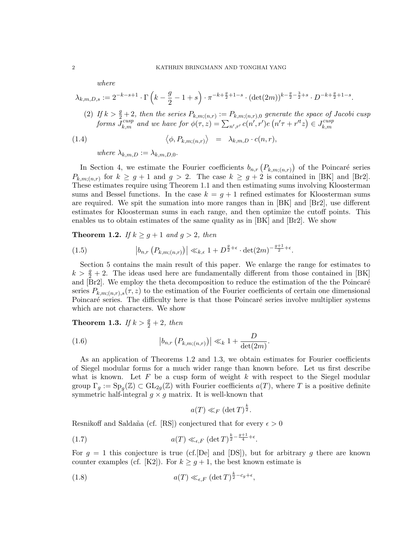where

$$
\lambda_{k,m,D,s} := 2^{-k-s+1} \cdot \Gamma\left(k - \frac{g}{2} - 1 + s\right) \cdot \pi^{-k + \frac{g}{2} + 1 - s} \cdot (\det(2m))^{k - \frac{g}{2} - \frac{3}{2} + s} \cdot D^{-k + \frac{g}{2} + 1 - s}.
$$

(2) If  $k > \frac{g}{2} + 2$ , then the series  $P_{k,m;(n,r)} := P_{k,m;(n,r),0}$  generate the space of Jacobi cusp forms  $\bar{J}^{cusp}_{k,m}$  and we have for  $\phi(\tau,z)=\sum_{n',r'}c(n',r')e\left(n'\tau+r'^{t}z\right)\in J^{cusp}_{k,m}$  $_{k,m}$ 

(1.4) 
$$
\langle \phi, P_{k,m;(n,r)} \rangle = \lambda_{k,m,D} \cdot c(n,r),
$$

where  $\lambda_{k,m,D} := \lambda_{k,m,D,0}$ .

In Section 4, we estimate the Fourier coefficients  $b_{n,r}(P_{k,m;(n,r)})$  of the Poincaré series  $P_{k,m;(n,r)}$  for  $k \geq g+1$  and  $g > 2$ . The case  $k \geq g+2$  is contained in [BK] and [Br2]. These estimates require using Theorem 1.1 and then estimating sums involving Kloosterman sums and Bessel functions. In the case  $k = g + 1$  refined estimates for Kloosterman sums are required. We spit the sumation into more ranges than in [BK] and [Br2], use different estimates for Kloosterman sums in each range, and then optimize the cutoff points. This enables us to obtain estimates of the same quality as in [BK] and [Br2]. We show

**Theorem 1.2.** If  $k \geq g+1$  and  $g > 2$ , then

(1.5) 
$$
\left| b_{n,r} \left( P_{k,m;(n,r)} \right) \right| \ll_{k,\epsilon} 1 + D^{\frac{g}{2} + \epsilon} \cdot \det(2m)^{-\frac{g+1}{2} + \epsilon}.
$$

Section 5 contains the main result of this paper. We enlarge the range for estimates to  $k > \frac{g}{2} + 2$ . The ideas used here are fundamentally different from those contained in [BK] and [Br2]. We employ the theta decomposition to reduce the estimation of the the Poincaré series  $P_{k,m;(n,r),s}(\tau,z)$  to the estimation of the Fourier coefficients of certain one dimensional Poincaré series. The difficulty here is that those Poincaré series involve multiplier systems which are not characters. We show

**Theorem 1.3.** If  $k > \frac{g}{2} + 2$ , then

(1.6) 
$$
|b_{n,r}(P_{k,m;(n,r)})| \ll_{k} 1 + \frac{D}{\det(2m)}.
$$

As an application of Theorems 1.2 and 1.3, we obtain estimates for Fourier coefficients of Siegel modular forms for a much wider range than known before. Let us first describe what is known. Let  $F$  be a cusp form of weight  $k$  with respect to the Siegel modular group  $\Gamma_g := \text{Sp}_g(\mathbb{Z}) \subset \text{GL}_{2g}(\mathbb{Z})$  with Fourier coefficients  $a(T)$ , where T is a positive definite symmetric half-integral  $g \times g$  matrix. It is well-known that

$$
a(T) \ll_F (\det T)^{\frac{k}{2}}.
$$

Resnikoff and Saldaña (cf. [RS]) conjectured that for every  $\epsilon > 0$ 

$$
(1.7) \t a(T) \ll_{\epsilon, F} (\det T)^{\frac{k}{2} - \frac{g+1}{4} + \epsilon}.
$$

For  $g = 1$  this conjecture is true (cf. [De] and [DS]), but for arbitrary g there are known counter examples (cf. [K2]). For  $k \geq g+1$ , the best known estimate is

(1.8) 
$$
a(T) \ll_{\epsilon, F} (\det T)^{\frac{k}{2} - c_g + \epsilon},
$$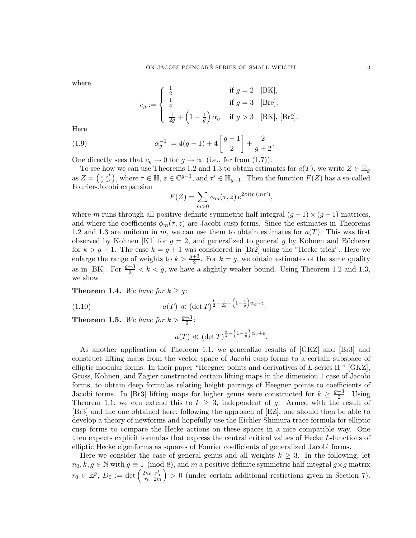where

$$
c_g:=\left\{\begin{array}{ll} \frac{1}{2} & \text{if }g=2 \quad [\text{BK}],\\[1.0ex] \frac{1}{4} & \text{if }g=3 \quad [\text{Bre}],\\[1.0ex] \frac{1}{2g}+\left(1-\frac{1}{g}\right)\alpha_g & \text{if }g>3 \quad [\text{BK}],\ [\text{Br2}]. \end{array}\right.
$$

Here

(1.9) 
$$
\alpha_g^{-1} := 4(g-1) + 4\left[\frac{g-1}{2}\right] + \frac{2}{g+2}.
$$

One directly sees that  $c_g \to 0$  for  $g \to \infty$  (i.e., far from (1.7)).

To see how we can use Theorems 1.2 and 1.3 to obtain estimates for  $a(T)$ , we write  $Z \in \mathbb{H}_q$ as  $Z = (\begin{matrix} \tau & z^t \\ z & \tau' \end{matrix})$ , where  $\tau \in \mathbb{H}$ ,  $z \in \mathbb{C}^{g-1}$ , and  $\tau' \in \mathbb{H}_{g-1}$ . Then the function  $F(Z)$  has a so-called Fourier-Jacobi expansion

$$
F(Z) = \sum_{m>0} \phi_m(\tau, z) e^{2\pi i \text{tr}(m\tau')},
$$

where m runs through all positive definite symmetric half-integral  $(g - 1) \times (g - 1)$  matrices, and where the coefficients  $\phi_m(\tau, z)$  are Jacobi cusp forms. Since the estimates in Theorems 1.2 and 1.3 are uniform in m, we can use them to obtain estimates for  $a(T)$ . This was first observed by Kohnen [K1] for  $g = 2$ , and generalized to general g by Kohnen and Böcherer for  $k > g + 1$ . The case  $k = g + 1$  was considered in [Br2] using the "Hecke trick". Here we enlarge the range of weights to  $k > \frac{g+3}{2}$ . For  $k = g$ , we obtain estimates of the same quality as in [BK]. For  $\frac{g+3}{2} < k < g$ , we have a slightly weaker bound. Using Theorem 1.2 and 1.3, we show

**Theorem 1.4.** We have for  $k \geq g$ :

(1.10) 
$$
a(T) \ll (\det T)^{\frac{k}{2} - \frac{1}{2g} - \left(1 - \frac{1}{g}\right)\alpha_g + \epsilon}.
$$

**Theorem 1.5.** We have for  $k > \frac{g+3}{2}$ :

$$
a(T) \ll (\det T)^{\frac{k}{2} - \left(1 - \frac{1}{g}\right)\alpha_g + \epsilon}.
$$

As another application of Theorem 1.1, we generalize results of [GKZ] and [Br3] and construct lifting maps from the vector space of Jacobi cusp forms to a certain subspace of elliptic modular forms. In their paper "Heegner points and derivatives of L-series II " [GKZ], Gross, Kohnen, and Zagier constructed certain lifting maps in the dimension 1 case of Jacobi forms, to obtain deep formulas relating height pairings of Heegner points to coefficients of Jacobi forms. In [Br3] lifting maps for higher genus were constructed for  $k \geq \frac{g+3}{2}$  $rac{+3}{2}$ . Using Theorem 1.1, we can extend this to  $k \geq 3$ , independent of g. Armed with the result of [Br3] and the one obtained here, following the approach of [EZ], one should then be able to develop a theory of newforms and hopefully use the Eichler-Shimura trace formula for elliptic cusp forms to compare the Hecke actions on these spaces in a nice compatible way. One then expects explicit formulas that express the central critical values of Hecke L-functions of elliptic Hecke eigenforms as squares of Fourier coefficients of generalized Jacobi forms.

Here we consider the case of general genus and all weights  $k \geq 3$ . In the following, let  $n_0, k, g \in \mathbb{N}$  with  $g \equiv 1 \pmod{8}$ , and m a positive definite symmetric half-integral  $g \times g$  matrix  $r_0\in\mathbb{Z}^g,~D_0:=\det\left(\begin{smallmatrix} 2n_0&r_0^t\ r_0&2m\end{smallmatrix}\right)$  $\big) > 0$  (under certain additional restictions given in Section 7).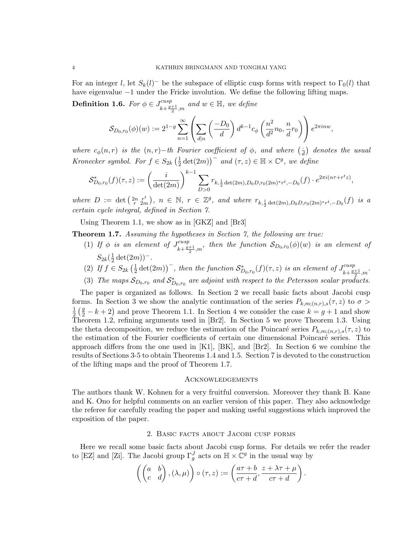For an integer l, let  $S_k(l)^-$  be the subspace of elliptic cusp forms with respect to  $\Gamma_0(l)$  that have eigenvalue −1 under the Fricke involution. We define the following lifting maps.

**Definition 1.6.** For  $\phi \in J_{\mu}^{cusp}$  $\frac{cusp}{k+\frac{g+1}{2},m}$  and  $w \in \mathbb{H}$ , we define

$$
\mathcal{S}_{D_0,r_0}(\phi)(w) := 2^{1-g} \sum_{n=1}^{\infty} \left( \sum_{d|n} \left( \frac{-D_0}{d} \right) d^{k-1} c_{\phi} \left( \frac{n^2}{d^2} n_0, \frac{n}{d} r_0 \right) \right) e^{2\pi i n w},
$$

where  $c_{\phi}(n,r)$  is the  $(n,r)-th$  Fourier coefficient of  $\phi$ , and where  $\left(\frac{1}{a}\right)$  $\frac{1}{d}$ ) denotes the usual Kronecker symbol. For  $f \in S_{2k}(\frac{1}{2})$  $\frac{1}{2} \det(2m)$  and  $(\tau, z) \in \mathbb{H} \times \mathbb{C}^g$ , we define

$$
\mathcal{S}_{D_0,r_0}^*(f)(\tau,z) := \left(\frac{i}{\det(2m)}\right)^{k-1} \sum_{D>0} r_{k,\frac{1}{2}\det(2m),D_0D,r_0(2m)^*r^t, -D_0}(f) \cdot e^{2\pi i (n\tau + r^t z)},
$$

where  $D := \det\left(\begin{matrix} 2n & r^t \\ r & 2m \end{matrix}\right), n \in \mathbb{N}, r \in \mathbb{Z}^g$ , and where  $r_{k, \frac{1}{2} \det(2m), D_0 D, r_0(2m)^* r^t, -D_0}(f)$  is a certain cycle integral, defined in Section 7.

Using Theorem 1.1, we show as in [GKZ] and [Br3]

Theorem 1.7. Assuming the hypotheses in Section 7, the following are true:

- (1) If  $\phi$  is an element of  $J_{\mu}^{cusp}$  $\lim_{k+\frac{g+1}{2},m}$ , then the function  $\mathcal{S}_{D_0,r_0}(\phi)(w)$  is an element of  $S_{2k}(\frac{1}{2}\det(2m))^{-}$ .  $\overline{2}$
- (2) If  $f \in S_{2k}(\frac{1}{2})$  $\frac{1}{2} \det(2m)$ , then the function  $S_{D_0,r_0}^*(f)(\tau,z)$  is an element of  $J_{k+\frac{g}{2}}^{cusp}$  $\frac{cusp}{k+\frac{g+1}{2},m}$ .
- (3) The maps  $S_{D_0,r_0}$  and  $S_{D_0,r_0}^*$  are adjoint with respect to the Petersson scalar products.

The paper is organized as follows. In Section 2 we recall basic facts about Jacobi cusp forms. In Section 3 we show the analytic continuation of the series  $P_{k,m;(n,r),s}(\tau,z)$  to  $\sigma >$ 1  $\frac{1}{2}(\frac{g}{2}-k+2)$  and prove Theorem 1.1. In Section 4 we consider the case  $k=g+1$  and show Theorem 1.2, refining arguments used in [Br2]. In Section 5 we prove Theorem 1.3. Using the theta decomposition, we reduce the estimation of the Poincaré series  $P_{k,m;(n,r),s}(\tau,z)$  to the estimation of the Fourier coefficients of certain one dimensional Poincaré series. This approach differs from the one used in [K1], [BK], and [Br2]. In Section 6 we combine the results of Sections 3-5 to obtain Theorems 1.4 and 1.5. Section 7 is devoted to the construction of the lifting maps and the proof of Theorem 1.7.

#### **ACKNOWLEDGEMENTS**

The authors thank W. Kohnen for a very fruitful conversion. Moreover they thank B. Kane and K. Ono for helpful comments on an earlier version of this paper. They also acknowledge the referee for carefully reading the paper and making useful suggestions which improved the exposition of the paper.

#### 2. Basic facts about Jacobi cusp forms

Here we recall some basic facts about Jacobi cusp forms. For details we refer the reader to [EZ] and [Zi]. The Jacobi group  $\Gamma_g^J$  acts on  $\mathbb{H} \times \mathbb{C}^g$  in the usual way by

$$
\left(\begin{pmatrix} a & b \\ c & d \end{pmatrix}, (\lambda, \mu)\right) \circ (\tau, z) := \left(\frac{a\tau + b}{c\tau + d}, \frac{z + \lambda\tau + \mu}{c\tau + d}\right).
$$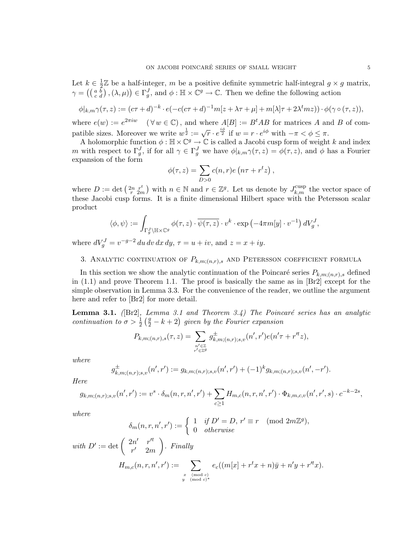Let  $k \in \frac{1}{2}$  $\frac{1}{2}$  be a half-integer, m be a positive definite symmetric half-integral  $g \times g$  matrix,  $\gamma = \left( \begin{pmatrix} a & \overline{b} \\ c & d \end{pmatrix}, (\lambda, \mu) \right) \in \Gamma_g^J$ , and  $\phi : \mathbb{H} \times \mathbb{C}^g \to \mathbb{C}$ . Then we define the following action

$$
\phi|_{k,m}\gamma(\tau,z):=(c\tau+d)^{-k}\cdot e(-c(c\tau+d)^{-1}m[z+\lambda\tau+\mu]+m[\lambda]\tau+2\lambda^tmz))\cdot\phi(\gamma\circ(\tau,z)),
$$

where  $e(w) := e^{2\pi i w}$   $(\forall w \in \mathbb{C})$ , and where  $A[B] := B^tAB$  for matrices A and B of compatible sizes. Moreover we write  $w^{\frac{1}{2}} := \sqrt{r} \cdot e^{\frac{i\phi}{2}}$  if  $w = r \cdot e^{i\phi}$  with  $-\pi < \phi \leq \pi$ .

A holomorphic function  $\phi : \mathbb{H} \times \mathbb{C}^g \to \mathbb{C}$  is called a Jacobi cusp form of weight k and index m with respect to  $\Gamma_g^J$ , if for all  $\gamma \in \Gamma_g^J$  we have  $\phi|_{k,m}\gamma(\tau,z) = \phi(\tau,z)$ , and  $\phi$  has a Fourier expansion of the form

$$
\phi(\tau,z) = \sum_{D>0} c(n,r)e\left(n\tau + r^tz\right),\,
$$

where  $D := \det \left( \begin{matrix} 2n & r^t \\ r & 2m \end{matrix} \right)$  with  $n \in \mathbb{N}$  and  $r \in \mathbb{Z}^g$ . Let us denote by  $J_{k,m}^{\text{cusp}}$  the vector space of these Jacobi cusp forms. It is a finite dimensional Hilbert space with the Petersson scalar product

$$
\langle \phi, \psi \rangle := \int_{\Gamma_g^J \backslash \mathbb{H} \times \mathbb{C}^g} \phi(\tau, z) \cdot \overline{\psi(\tau, z)} \cdot v^k \cdot \exp\left(-4\pi m[y] \cdot v^{-1}\right) dV_g^J,
$$

where  $dV_g^J = v^{-g-2} du dv dx dy$ ,  $\tau = u + iv$ , and  $z = x + iy$ .

# 3. ANALYTIC CONTINUATION OF  $P_{k,m;(n,r),s}$  and Petersson coefficient formula

In this section we show the analytic continuation of the Poincaré series  $P_{k,m:(n,r),s}$  defined in (1.1) and prove Theorem 1.1. The proof is basically the same as in [Br2] except for the simple observation in Lemma 3.3. For the convenience of the reader, we outline the argument here and refer to [Br2] for more detail.

**Lemma 3.1.** ( $[Br2]$ , Lemma 3.1 and Theorem 3.4) The Poincaré series has an analytic continuation to  $\sigma > \frac{1}{2} \left( \frac{g}{2} - k + 2 \right)$  given by the Fourier expansion

$$
P_{k,m;(n,r),s}(\tau,z) = \sum_{\substack{n' \in \mathbb{Z} \\ r' \in \mathbb{Z}^g}} g^{\pm}_{k,m;(n,r);s,v}(n',r')e(n'\tau + r''z),
$$

where

$$
g_{k,m;(n,r);s,v}^{\pm}(n',r') := g_{k,m;(n,r);s,v}(n',r') + (-1)^k g_{k,m;(n,r);s,v}(n',-r').
$$

Here

$$
g_{k,m;(n,r);s,v}(n',r') := v^s \cdot \delta_m(n,r,n',r') + \sum_{c \geq 1} H_{m,c}(n,r,n',r') \cdot \Phi_{k,m,c,v}(n',r',s) \cdot c^{-k-2s},
$$

where

$$
\delta_m(n, r, n', r') := \begin{cases} 1 & \text{if } D' = D, r' \equiv r \pmod{2m\mathbb{Z}^g}, \\ 0 & \text{otherwise} \end{cases}
$$

with 
$$
D' := \det \begin{pmatrix} 2n' & r'^t \\ r' & 2m \end{pmatrix}
$$
. Finally  

$$
H_{m,c}(n,r,n',r') := \sum_{\substack{x \pmod{c} \\ y \pmod{c}}} e_c((m[x] + r^t x + n)\bar{y} + n'y + r'^t x).
$$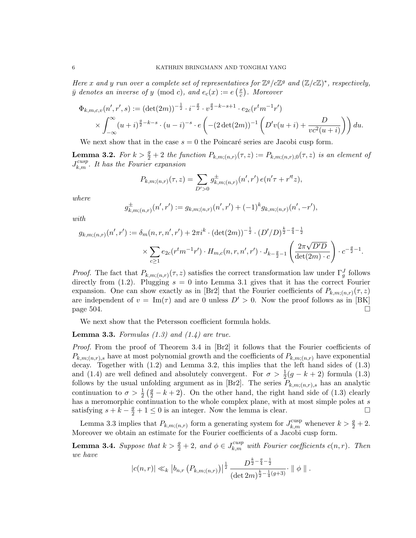Here x and y run over a complete set of representatives for  $\mathbb{Z}^g/c\mathbb{Z}^g$  and  $(\mathbb{Z}/c\mathbb{Z})^*$ , respectively,  $\bar{y}$  denotes an inverse of y (mod c), and  $e_c(x) := e\left(\frac{x}{c}\right)$  $(\frac{x}{c})$ . Moreover

$$
\Phi_{k,m,c,v}(n',r',s) := (\det(2m))^{-\frac{1}{2}} \cdot i^{-\frac{g}{2}} \cdot v^{\frac{g}{2}-k-s+1} \cdot e_{2c}(r^tm^{-1}r')
$$
  
 
$$
\times \int_{-\infty}^{\infty} (u+i)^{\frac{g}{2}-k-s} \cdot (u-i)^{-s} \cdot e\left(-(2\det(2m))^{-1}\left(D'v(u+i) + \frac{D}{vc^2(u+i)}\right)\right) du.
$$

We next show that in the case  $s = 0$  the Poincaré series are Jacobi cusp form.

**Lemma 3.2.** For  $k > \frac{g}{2} + 2$  the function  $P_{k,m;(n,r)}(\tau, z) := P_{k,m;(n,r),0}(\tau, z)$  is an element of  $J_{k,m}^{cusp}$ . It has the Fourier expansion

$$
P_{k,m;(n,r)}(\tau,z) = \sum_{D' > 0} g_{k,m;(n,r)}^{\pm}(n',r') e(n'\tau + r''z),
$$

where

$$
g_{k,m;(n,r)}^{\pm}(n',r') := g_{k,m;(n,r)}(n',r') + (-1)^k g_{k,m;(n,r)}(n',-r'),
$$

with

$$
g_{k,m;(n,r)}(n',r') := \delta_m(n,r,n',r') + 2\pi i^k \cdot (\det(2m))^{-\frac{1}{2}} \cdot (D'/D)^{\frac{k}{2} - \frac{g}{4} - \frac{1}{2}} \times \sum_{c \ge 1} e_{2c}(r^t m^{-1}r') \cdot H_{m,c}(n,r,n',r') \cdot J_{k-\frac{g}{2}-1} \left(\frac{2\pi\sqrt{D'D}}{\det(2m) \cdot c}\right) \cdot c^{-\frac{g}{2}-1}.
$$

*Proof.* The fact that  $P_{k,m;(n,r)}(\tau,z)$  satisfies the correct transformation law under  $\Gamma_g^J$  follows directly from  $(1.2)$ . Plugging  $s = 0$  into Lemma 3.1 gives that it has the correct Fourier expansion. One can show exactly as in [Br2] that the Fourier coefficients of  $P_{k,m;(n,r)}(\tau,z)$ are independent of  $v = \text{Im}(\tau)$  and are 0 unless  $D' > 0$ . Now the proof follows as in [BK]  $_{\text{page 504}}$ .

We next show that the Petersson coefficient formula holds.

## **Lemma 3.3.** Formulas  $(1.3)$  and  $(1.4)$  are true.

Proof. From the proof of Theorem 3.4 in [Br2] it follows that the Fourier coefficients of  $P_{k,m;(n,r),s}$  have at most polynomial growth and the coefficients of  $P_{k,m;(n,r)}$  have exponential decay. Together with (1.2) and Lemma 3.2, this implies that the left hand sides of (1.3) and (1.4) are well defined and absolutely convergent. For  $\sigma > \frac{1}{2}(g - k + 2)$  formula (1.3) follows by the usual unfolding argument as in [Br2]. The series  $P_{k,m;(n,r),s}$  has an analytic continuation to  $\sigma > \frac{1}{2}(\frac{g}{2} - k + 2)$ . On the other hand, the right hand side of (1.3) clearly has a meromorphic continuation to the whole complex plane, with at most simple poles at s satisfying  $s + k - \frac{g}{2} + 1 \le 0$  is an integer. Now the lemma is clear.

Lemma 3.3 implies that  $P_{k,m;(n,r)}$  form a generating system for  $J_{k,m}^{\text{cusp}}$  whenever  $k > \frac{g}{2} + 2$ . Moreover we obtain an estimate for the Fourier coefficients of a Jacobi cusp form.

**Lemma 3.4.** Suppose that  $k > \frac{g}{2} + 2$ , and  $\phi \in J_{k,m}^{cusp}$  with Fourier coefficients  $c(n,r)$ . Then we have

$$
|c(n,r)| \ll_k |b_{n,r} (P_{k,m;(n,r)})|^{\frac{1}{2}} \frac{D^{\frac{k}{2}-\frac{q}{4}-\frac{1}{2}}}{(\det 2m)^{\frac{k}{2}-\frac{1}{4}(g+3)}} \cdot ||\phi||.
$$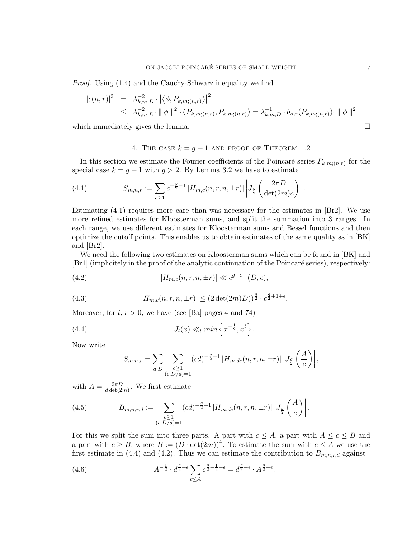Proof. Using (1.4) and the Cauchy-Schwarz inequality we find

$$
|c(n,r)|^2 = \lambda_{k,m,D}^{-2} \cdot |\langle \phi, P_{k,m;(n,r)} \rangle|^2
$$
  
 
$$
\leq \lambda_{k,m,D}^{-2} \cdot || \phi ||^2 \cdot \langle P_{k,m;(n,r)}, P_{k,m;(n,r)} \rangle = \lambda_{k,m,D}^{-1} \cdot b_{n,r}(P_{k,m;(n,r)}) \cdot || \phi ||^2
$$

which immediately gives the lemma.

## 4. THE CASE  $k = g + 1$  AND PROOF OF THEOREM 1.2

In this section we estimate the Fourier coefficients of the Poincaré series  $P_{k,m;(n,r)}$  for the special case  $k = q + 1$  with  $q > 2$ . By Lemma 3.2 we have to estimate

(4.1) 
$$
S_{m,n,r} := \sum_{c \ge 1} c^{-\frac{g}{2}-1} |H_{m,c}(n,r,n,\pm r)| \left| J_{\frac{g}{2}} \left( \frac{2\pi D}{\det(2m)c} \right) \right|.
$$

Estimating  $(4.1)$  requires more care than was necessary for the estimates in  $[Br2]$ . We use more refined estimates for Kloosterman sums, and split the summation into 3 ranges. In each range, we use different estimates for Kloosterman sums and Bessel functions and then optimize the cutoff points. This enables us to obtain estimates of the same quality as in [BK] and [Br2].

We need the following two estimates on Kloosterman sums which can be found in  $[BK]$  and [Br1] (implicitely in the proof of the analytic continuation of the Poincaré series), respectively:

(4.2) 
$$
|H_{m,c}(n,r,n,\pm r)| \ll c^{g+\epsilon} \cdot (D,c),
$$

(4.3) 
$$
|H_{m,c}(n,r,n,\pm r)| \leq (2 \det(2m)D))^{\frac{g}{2}} \cdot c^{\frac{g}{2}+1+\epsilon}.
$$

Moreover, for  $l, x > 0$ , we have (see [Ba] pages 4 and 74)

(4.4) 
$$
J_l(x) \ll_l \min \left\{ x^{-\frac{1}{2}}, x^l \right\}.
$$

Now write

$$
S_{m,n,r} = \sum_{d|D} \sum_{\substack{c \ge 1 \\ (c,D/d)=1}} (cd)^{-\frac{g}{2}-1} |H_{m,dc}(n,r,n,\pm r)| \left| J_{\frac{g}{2}}\left(\frac{A}{c}\right) \right|,
$$

with  $A = \frac{2\pi D}{d \det(2)}$  $\frac{2\pi D}{d \det(2m)}$ . We first estimate

(4.5) 
$$
B_{m,n,r,d} := \sum_{\substack{c \geq 1 \\ (c,D/d)=1}} (cd)^{-\frac{g}{2}-1} |H_{m,dc}(n,r,n,\pm r)| \left| J_{\frac{g}{2}}\left(\frac{A}{c}\right) \right|.
$$

For this we split the sum into three parts. A part with  $c \leq A$ , a part with  $A \leq c \leq B$  and a part with  $c \geq B$ , where  $B := (D \cdot det(2m))^4$ . To estimate the sum with  $c \leq A$  we use the first estimate in (4.4) and (4.2). Thus we can estimate the contribution to  $B_{m,n,r,d}$  against

(4.6) 
$$
A^{-\frac{1}{2}} \cdot d^{\frac{g}{2}+\epsilon} \sum_{c \leq A} c^{\frac{g}{2}-\frac{1}{2}+\epsilon} = d^{\frac{g}{2}+\epsilon} \cdot A^{\frac{g}{2}+\epsilon}.
$$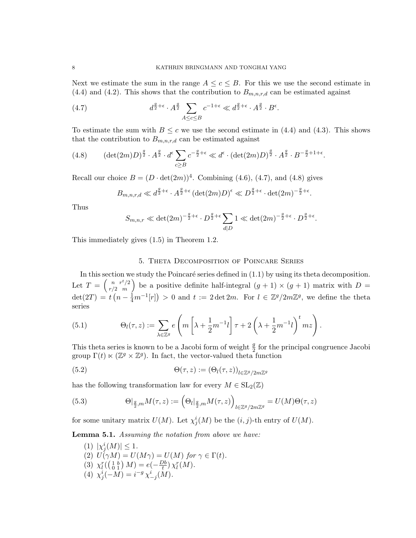Next we estimate the sum in the range  $A \leq c \leq B$ . For this we use the second estimate in  $(4.4)$  and  $(4.2)$ . This shows that the contribution to  $B_{m,n,r,d}$  can be estimated against

(4.7) 
$$
d^{\frac{g}{2}+\epsilon} \cdot A^{\frac{g}{2}} \sum_{A \le c \le B} c^{-1+\epsilon} \ll d^{\frac{g}{2}+\epsilon} \cdot A^{\frac{g}{2}} \cdot B^{\epsilon}.
$$

To estimate the sum with  $B \leq c$  we use the second estimate in (4.4) and (4.3). This shows that the contribution to  $B_{m,n,r,d}$  can be estimated against

(4.8) 
$$
(\det(2m)D)^{\frac{g}{2}} \cdot A^{\frac{g}{2}} \cdot d^{\epsilon} \sum_{c \geq B} c^{-\frac{g}{2} + \epsilon} \ll d^{\epsilon} \cdot (\det(2m)D)^{\frac{g}{2}} \cdot A^{\frac{g}{2}} \cdot B^{-\frac{g}{2} + 1 + \epsilon}.
$$

Recall our choice  $B = (D \cdot det(2m))^4$ . Combining (4.6), (4.7), and (4.8) gives

$$
B_{m,n,r,d} \ll d^{\frac{g}{2}+\epsilon} \cdot A^{\frac{g}{2}+\epsilon} (\det(2m)D)^{\epsilon} \ll D^{\frac{g}{2}+\epsilon} \cdot \det(2m)^{-\frac{g}{2}+\epsilon}.
$$

Thus

$$
S_{m,n,r} \ll \det(2m)^{-\frac{g}{2}+\epsilon} \cdot D^{\frac{g}{2}+\epsilon} \sum_{d|D} 1 \ll \det(2m)^{-\frac{g}{2}+\epsilon} \cdot D^{\frac{g}{2}+\epsilon}.
$$

This immediately gives (1.5) in Theorem 1.2.

# 5. Theta Decomposition of Poincare Series

In this section we study the Poincaré series defined in  $(1.1)$  by using its theta decomposition. Let  $T = \begin{pmatrix} n & r^t/2 \\ r/2 & m \end{pmatrix}$  $\binom{n}{r/2}$  be a positive definite half-integral  $(g + 1) \times (g + 1)$  matrix with  $D =$  $\det(2T) = t\left(n - \frac{1}{4}m^{-1}[r]\right) > 0$  and  $t := 2 \det 2m$ . For  $l \in \mathbb{Z}^g/2m\mathbb{Z}^g$ , we define the theta series

(5.1) 
$$
\Theta_l(\tau,z) := \sum_{\lambda \in \mathbb{Z}^g} e\left(m\left[\lambda + \frac{1}{2}m^{-1}l\right]\tau + 2\left(\lambda + \frac{1}{2}m^{-1}l\right)^t m z\right).
$$

This theta series is known to be a Jacobi form of weight  $\frac{g}{2}$  for the principal congruence Jacobi group  $\Gamma(t) \propto (\mathbb{Z}^g \times \mathbb{Z}^g)$ . In fact, the vector-valued theta function

(5.2) 
$$
\Theta(\tau,z) := (\Theta_l(\tau,z))_{l \in \mathbb{Z}^g/2m\mathbb{Z}^g}
$$

has the following transformation law for every  $M \in SL_2(\mathbb{Z})$ 

(5.3) 
$$
\Theta|_{\frac{g}{2},m}M(\tau,z):=\left(\Theta_l|_{\frac{g}{2},m}M(\tau,z)\right)_{l\in\mathbb{Z}^g/2m\mathbb{Z}^g}=U(M)\Theta(\tau,z)
$$

for some unitary matrix  $U(M)$ . Let  $\chi_j^i(M)$  be the  $(i, j)$ -th entry of  $U(M)$ .

Lemma 5.1. Assuming the notation from above we have:

(1)  $|\chi_j^i(M)| \leq 1$ . (2)  $U(\gamma M) = U(M\gamma) = U(M)$  for  $\gamma \in \Gamma(t)$ . (3)  $\chi_l^r(\begin{pmatrix} 1 & b \\ 0 & 1 \end{pmatrix} M) = e(-\frac{Db}{t})$  $\frac{Ob}{t}$ )  $\chi_l^r(M)$ . (4)  $\chi_j^i(-M) = i^{-g} \chi_{-j}^i(M)$ .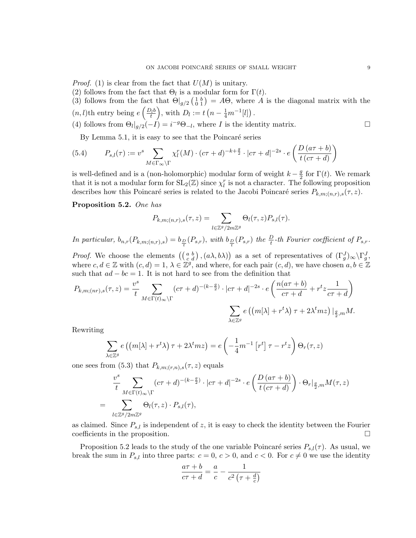*Proof.* (1) is clear from the fact that  $U(M)$  is unitary.

- (2) follows from the fact that  $\Theta_l$  is a modular form for  $\Gamma(t)$ .
- (3) follows from the fact that  $\Theta|_{g/2}\left(\begin{smallmatrix}1&b\\0&1\end{smallmatrix}\right)=A\Theta$ , where A is the diagonal matrix with the  $(n, l)$ th entry being  $e\left(\frac{D_l b}{t}\right)$ , with  $D_l := t\left(n - \frac{1}{4}m^{-1}[l]\right)$ .
- (4) follows from  $\Theta_l|_{g/2}(-I) = i^{-g}\Theta_{-l}$ , where I is the identity matrix.

By Lemma 5.1, it is easy to see that the Poincaré series

(5.4) 
$$
P_{s,l}(\tau) := v^s \sum_{M \in \Gamma_{\infty} \backslash \Gamma} \chi_l^r(M) \cdot (c\tau + d)^{-k + \frac{g}{2}} \cdot |c\tau + d|^{-2s} \cdot e\left(\frac{D\left(a\tau + b\right)}{t\left(c\tau + d\right)}\right)
$$

is well-defined and is a (non-holomorphic) modular form of weight  $k - \frac{g}{2}$  $\frac{g}{2}$  for  $\Gamma(t)$ . We remark that it is not a modular form for  $SL_2(\mathbb{Z})$  since  $\chi_l^r$  is not a character. The following proposition describes how this Poincaré series is related to the Jacobi Poincaré series  $P_{k,m;(n,r),s}(\tau, z)$ .

## Proposition 5.2. One has

$$
P_{k,m;(n,r),s}(\tau,z) = \sum_{l \in \mathbb{Z}^g/2m\mathbb{Z}^g} \Theta_l(\tau,z) P_{s,l}(\tau).
$$

In particular,  $b_{n,r}(P_{k,m;(n,r),s}) = b_{\frac{D}{t}}(P_{s,r})$ , with  $b_{\frac{D}{t}}(P_{s,r})$  the  $\frac{D}{t}$ -th Fourier coefficient of  $P_{s,r}$ .

*Proof.* We choose the elements  $((a \ b \ b \dot a), (a \lambda, b \lambda))$  as a set of representatives of  $(\Gamma_g^J)_{\infty} \backslash \Gamma_g^J$ , where  $c, d \in \mathbb{Z}$  with  $(c, d) = 1, \lambda \in \mathbb{Z}^g$ , and where, for each pair  $(c, d)$ , we have chosen  $a, b \in \mathbb{Z}$ such that  $ad - bc = 1$ . It is not hard to see from the definition that

$$
P_{k,m;(nr),s}(\tau,z) = \frac{v^s}{t} \sum_{M \in \Gamma(t)\infty \backslash \Gamma} (c\tau + d)^{-(k-\frac{g}{2})} \cdot |c\tau + d|^{-2s} \cdot e\left(\frac{n(a\tau + b)}{c\tau + d} + r^t z \frac{1}{c\tau + d}\right)
$$

$$
\sum_{\lambda \in \mathbb{Z}^g} e\left((m[\lambda] + r^t \lambda)\tau + 2\lambda^t m z\right)|_{\frac{g}{2},m} M.
$$

Rewriting

$$
\sum_{\lambda \in \mathbb{Z}^g} e\left(\left(m[\lambda] + r^t \lambda\right) \tau + 2\lambda^t m z\right) = e\left(-\frac{1}{4} m^{-1} \left[r^t\right] \tau - r^t z\right) \Theta_r(\tau, z)
$$

one sees from (5.3) that  $P_{k,m;(r,n),s}(\tau,z)$  equals

$$
\frac{v^s}{t} \sum_{M \in \Gamma(t)_{\infty} \backslash \Gamma} (c\tau + d)^{-(k - \frac{g}{2})} \cdot |c\tau + d|^{-2s} \cdot e\left(\frac{D(a\tau + b)}{t(c\tau + d)}\right) \cdot \Theta_r|_{\frac{g}{2},m} M(\tau, z)
$$
\n
$$
= \sum_{l \in \mathbb{Z}^g/2m\mathbb{Z}^g} \Theta_l(\tau, z) \cdot P_{s,l}(\tau),
$$

as claimed. Since  $P_{s,l}$  is independent of z, it is easy to check the identity between the Fourier coefficients in the proposition.

Proposition 5.2 leads to the study of the one variable Poincaré series  $P_{s,l}(\tau)$ . As usual, we break the sum in  $P_{s,l}$  into three parts:  $c = 0, c > 0$ , and  $c < 0$ . For  $c \neq 0$  we use the identity

$$
\frac{a\tau+b}{c\tau+d} = \frac{a}{c} - \frac{1}{c^2\left(\tau + \frac{d}{c}\right)}
$$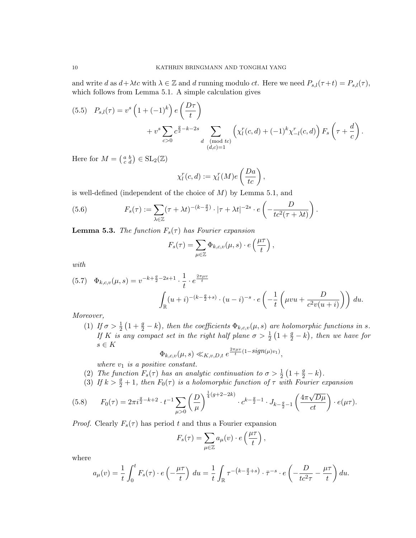and write d as  $d + \lambda tc$  with  $\lambda \in \mathbb{Z}$  and d running modulo ct. Here we need  $P_{s,l}(\tau + t) = P_{s,l}(\tau)$ , which follows from Lemma 5.1. A simple calculation gives

$$
(5.5) \quad P_{s,l}(\tau) = v^s \left( 1 + (-1)^k \right) e\left( \frac{D\tau}{t} \right) + v^s \sum_{c>0} c^{\frac{g}{2} - k - 2s} \sum_{\substack{d \pmod{tc} \\ (d,c) = 1}} \left( \chi_l^r(c,d) + (-1)^k \chi_{-l}^r(c,d) \right) F_s \left( \tau + \frac{d}{c} \right).
$$

Here for  $M = \begin{pmatrix} a & b \\ c & d \end{pmatrix} \in SL_2(\mathbb{Z})$ 

$$
\chi_l^r(c,d) := \chi_l^r(M)e\left(\frac{Da}{tc}\right),\,
$$

is well-defined (independent of the choice of  $M$ ) by Lemma 5.1, and

(5.6) 
$$
F_s(\tau) := \sum_{\lambda \in \mathbb{Z}} (\tau + \lambda t)^{-(k - \frac{g}{2})} \cdot |\tau + \lambda t|^{-2s} \cdot e\left(-\frac{D}{tc^2(\tau + \lambda t)}\right).
$$

**Lemma 5.3.** The function  $F_s(\tau)$  has Fourier expansion

$$
F_s(\tau) = \sum_{\mu \in \mathbb{Z}} \Phi_{k,c,v}(\mu, s) \cdot e\left(\frac{\mu \tau}{t}\right),\,
$$

with

$$
(5.7) \quad \Phi_{k,c,v}(\mu,s) = v^{-k+\frac{g}{2}-2s+1} \cdot \frac{1}{t} \cdot e^{\frac{2\pi\mu v}{t}} \cdot (u-i)^{-s} \cdot e^{\left(-\frac{1}{t}\left(\mu vu + \frac{D}{c^2v(u+i)}\right)\right)} \, du.
$$

Moreover,

(1) If  $\sigma > \frac{1}{2}(1+\frac{g}{2}-k)$ , then the coefficients  $\Phi_{k,c,v}(\mu, s)$  are holomorphic functions in s. If K is any compact set in the right half plane  $\sigma > \frac{1}{2}(1 + \frac{g}{2} - k)$ , then we have for  $s \in K$ 

$$
\Phi_{k,c,v}(\mu,s) \ll_{K,v,D,t} e^{\frac{2\pi\mu v}{t}(1-sign(\mu)v_1)},
$$

where  $v_1$  is a positive constant.

- (2) The function  $F_s(\tau)$  has an analytic continuation to  $\sigma > \frac{1}{2} (1 + \frac{g}{2} k)$ .
- (3) If  $k > \frac{g}{2} + 1$ , then  $F_0(\tau)$  is a holomorphic function of  $\tau$  with Fourier expansion

$$
(5.8) \tF_0(\tau) = 2\pi i^{\frac{g}{2} - k + 2} \cdot t^{-1} \sum_{\mu > 0} \left(\frac{D}{\mu}\right)^{\frac{1}{4}(g + 2 - 2k)} \cdot c^{k - \frac{g}{2} - 1} \cdot J_{k - \frac{g}{2} - 1} \left(\frac{4\pi \sqrt{D\mu}}{ct}\right) \cdot e(\mu \tau).
$$

*Proof.* Clearly  $F_s(\tau)$  has period t and thus a Fourier expansion

$$
F_s(\tau) = \sum_{\mu \in \mathbb{Z}} a_{\mu}(v) \cdot e\left(\frac{\mu \tau}{t}\right),\,
$$

where

$$
a_{\mu}(v) = \frac{1}{t} \int_0^t F_s(\tau) \cdot e\left(-\frac{\mu\tau}{t}\right) du = \frac{1}{t} \int_{\mathbb{R}} \tau^{-\left(k - \frac{g}{2} + s\right)} \cdot \bar{\tau}^{-s} \cdot e\left(-\frac{D}{tc^2\tau} - \frac{\mu\tau}{t}\right) du.
$$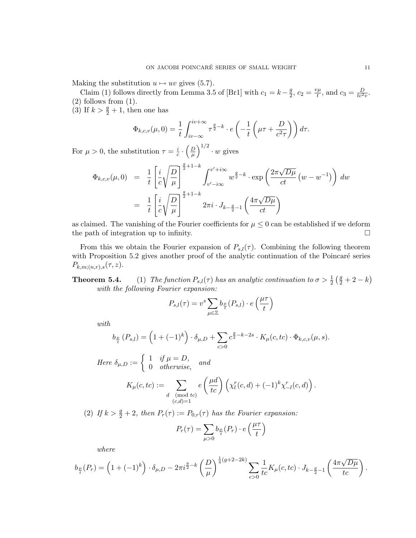Making the substitution  $u \mapsto uv$  gives (5.7).

Claim (1) follows directly from Lemma 3.5 of [Br1] with  $c_1 = k - \frac{g}{2}$  $\frac{g}{2}, c_2 = \frac{v\mu}{t}$  $t^{\mu}_{t}$ , and  $c_3 = \frac{D}{tc^2v}$ .  $(2)$  follows from  $(1)$ .

(3) If  $k > \frac{g}{2} + 1$ , then one has

$$
\Phi_{k,c,v}(\mu,0) = \frac{1}{t} \int_{iv-\infty}^{iv+\infty} \tau^{\frac{g}{2}-k} \cdot e\left(-\frac{1}{t}\left(\mu\tau + \frac{D}{c^2\tau}\right)\right) d\tau.
$$

For  $\mu > 0$ , the substitution  $\tau = \frac{i}{c}$  $\frac{i}{c} \cdot \left(\frac{D}{\mu}\right)$  $\frac{D}{\mu}\Big)^{1/2}\cdot w$  gives

$$
\Phi_{k,c,v}(\mu,0) = \frac{1}{t} \left[ \frac{i}{c} \sqrt{\frac{D}{\mu}} \right]^{\frac{g}{2}+1-k} \int_{v'-i\infty}^{v'+i\infty} w^{\frac{g}{2}-k} \cdot \exp\left(\frac{2\pi\sqrt{D\mu}}{ct}\left(w-w^{-1}\right)\right) dw
$$
\n
$$
= \frac{1}{t} \left[ \frac{i}{c} \sqrt{\frac{D}{\mu}} \right]^{\frac{g}{2}+1-k} 2\pi i \cdot J_{k-\frac{g}{2}-1}\left(\frac{4\pi\sqrt{D\mu}}{ct}\right)
$$

as claimed. The vanishing of the Fourier coefficients for  $\mu \leq 0$  can be established if we deform the path of integration up to infinity.  $\Box$ 

From this we obtain the Fourier expansion of  $P_{s,l}(\tau)$ . Combining the following theorem with Proposition 5.2 gives another proof of the analytic continuation of the Poincaré series  $P_{k,m;(n,r),s}(\tau,z).$ 

**Theorem 5.4.** (1) The function  $P_{s,l}(\tau)$  has an analytic continuation to  $\sigma > \frac{1}{2}(\frac{g}{2} + 2 - k)$ with the following Fourier expansion:

$$
P_{s,l}(\tau) = v^s \sum_{\mu \in \mathbb{Z}} b_{\frac{\mu}{t}}(P_{s,l}) \cdot e\left(\frac{\mu \tau}{t}\right)
$$

with

$$
b_{\frac{\mu}{t}}(P_{s,l}) = \left(1 + (-1)^k\right) \cdot \delta_{\mu,D} + \sum_{c>0} c_2^{\frac{g}{2} - k - 2s} \cdot K_{\mu}(c,tc) \cdot \Phi_{k,c,v}(\mu, s).
$$

Here 
$$
\delta_{\mu,D} := \begin{cases} 1 & \text{if } \mu = D, \\ 0 & \text{otherwise,} \end{cases}
$$
 and  

$$
K_{\mu}(c,tc) := \sum_{\substack{d \pmod{tc} \\ (c,d)=1}} e\left(\frac{\mu d}{tc}\right) \left(\chi_l^r(c,d) + (-1)^k \chi_{-l}^r(c,d)\right).
$$

(2) If  $k > \frac{g}{2} + 2$ , then  $P_r(\tau) := P_{0,r}(\tau)$  has the Fourier expansion:

$$
P_r(\tau) = \sum_{\mu > 0} b_{\frac{\mu}{t}}(P_r) \cdot e\left(\frac{\mu \tau}{t}\right)
$$

where

$$
b_{\frac{\mu}{t}}(P_r) = \left(1 + (-1)^k\right) \cdot \delta_{\mu,D} - 2\pi i^{\frac{g}{2} - k} \left(\frac{D}{\mu}\right)^{\frac{1}{4}(g+2-2k)} \sum_{c>0} \frac{1}{tc} K_{\mu}(c,tc) \cdot J_{k-\frac{g}{2}-1}\left(\frac{4\pi\sqrt{D\mu}}{tc}\right).
$$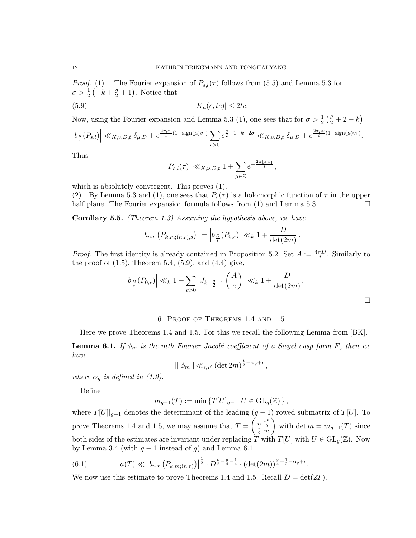*Proof.* (1) The Fourier expansion of  $P_{s,l}(\tau)$  follows from (5.5) and Lemma 5.3 for  $\sigma > \frac{1}{2} \left( -k + \frac{g}{2} + 1 \right)$ . Notice that

$$
(5.9) \t\t\t |K_{\mu}(c,tc)| \leq 2tc.
$$

Now, using the Fourier expansion and Lemma 5.3 (1), one sees that for  $\sigma > \frac{1}{2}(\frac{g}{2} + 2 - k)$ 

$$
\left| b_{\frac{\mu}{t}}(P_{s,l}) \right| \ll_{K,v,D,t} \delta_{\mu,D} + e^{\frac{2\pi\mu v}{t}(1-\text{sign}(\mu)v_1)} \sum_{c>0} c^{\frac{g}{2}+1-k-2\sigma} \ll_{K,v,D,t} \delta_{\mu,D} + e^{\frac{2\pi\mu v}{t}(1-\text{sign}(\mu)v_1)}.
$$

Thus

$$
|P_{s,l}(\tau)| \ll_{K,\nu,D,t} 1 + \sum_{\mu \in \mathbb{Z}} e^{-\frac{2\pi|\mu|v_1}{t}},
$$

which is absolutely convergent. This proves (1).

(2) By Lemma 5.3 and (1), one sees that  $P_r(\tau)$  is a holomorphic function of  $\tau$  in the upper half plane. The Fourier expansion formula follows from  $(1)$  and Lemma 5.3.

Corollary 5.5. (Theorem 1.3) Assuming the hypothesis above, we have

$$
\left| b_{n,r} \left( P_{k,m;(n,r),s} \right) \right| = \left| b_{\frac{D}{t}}(P_{0,r}) \right| \ll_k 1 + \frac{D}{\det(2m)}
$$

*Proof.* The first identity is already contained in Proposition 5.2. Set  $A := \frac{4\pi D}{t}$ . Similarly to the proof of  $(1.5)$ , Theorem 5.4,  $(5.9)$ , and  $(4.4)$  give,

$$
\left| b_{\frac{D}{t}}(P_{0,r}) \right| \ll_k 1 + \sum_{c>0} \left| J_{k-\frac{g}{2}-1} \left( \frac{A}{c} \right) \right| \ll_k 1 + \frac{D}{\det(2m)}.
$$

.

# 6. Proof of Theorems 1.4 and 1.5

Here we prove Theorems 1.4 and 1.5. For this we recall the following Lemma from [BK].

**Lemma 6.1.** If  $\phi_m$  is the mth Fourier Jacobi coefficient of a Siegel cusp form F, then we have

 $\parallel \phi_m \parallel \ll_{\epsilon,F} (\det 2m)^{\frac{k}{2} - \alpha_g + \epsilon},$ 

where  $\alpha_q$  is defined in (1.9).

Define

$$
m_{g-1}(T) := \min \{ T[U]_{g-1} | U \in \mathrm{GL}_g(\mathbb{Z}) \},
$$

where  $T[U]|_{g-1}$  denotes the determinant of the leading  $(g-1)$  rowed submatrix of  $T[U]$ . To prove Theorems 1.4 and 1.5, we may assume that  $T = \begin{pmatrix} n & \frac{r^2}{2} \\ r & \frac{r^2}{2} \end{pmatrix}$  $\frac{r}{2}$   $\frac{2}{m}$ with det  $m = m_{g-1}(T)$  since both sides of the estimates are invariant under replacing  $\overline{T}$  with  $T[U]$  with  $U \in GL_q(\mathbb{Z})$ . Now by Lemma 3.4 (with  $g - 1$  instead of g) and Lemma 6.1

(6.1) 
$$
a(T) \ll \left| b_{n,r} \left( P_{k,m;(n,r)} \right) \right|^{\frac{1}{2}} \cdot D^{\frac{k}{2} - \frac{g}{4} - \frac{1}{4}} \cdot (\det(2m))^{\frac{g}{4} + \frac{1}{2} - \alpha_g + \epsilon}.
$$

We now use this estimate to prove Theorems 1.4 and 1.5. Recall  $D = det(2T)$ .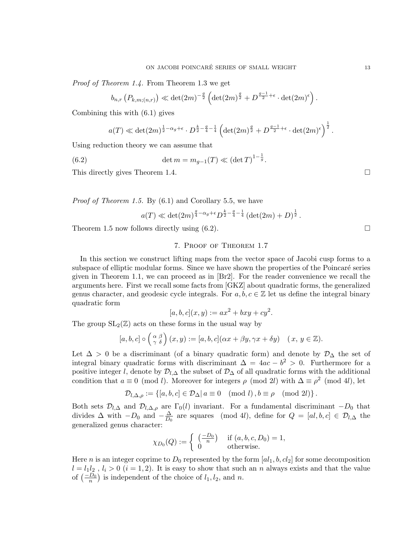Proof of Theorem 1.4. From Theorem 1.3 we get

$$
b_{n,r}\left(P_{k,m;(n,r)}\right) \ll \det(2m)^{-\frac{g}{2}} \left(\det(2m)^{\frac{g}{2}} + D^{\frac{g-1}{2}+\epsilon} \cdot \det(2m)^{\epsilon}\right).
$$

Combining this with (6.1) gives

$$
a(T) \ll \det(2m)^{\frac{1}{2}-\alpha_g+\epsilon} \cdot D^{\frac{k}{2}-\frac{g}{4}-\frac{1}{4}} \left( \det(2m)^{\frac{g}{2}} + D^{\frac{g-1}{2}+\epsilon} \cdot \det(2m)^{\epsilon} \right)^{\frac{1}{2}}.
$$

Using reduction theory we can assume that

(6.2) 
$$
\det m = m_{g-1}(T) \ll (\det T)^{1-\frac{1}{g}}.
$$

This directly gives Theorem 1.4.  $\Box$ 

Proof of Theorem 1.5. By (6.1) and Corollary 5.5, we have

$$
a(T) \ll \det(2m)^{\frac{g}{4}-\alpha_g+\epsilon} D^{\frac{k}{2}-\frac{g}{4}-\frac{1}{4}} (\det(2m)+D)^{\frac{1}{2}}.
$$

Theorem 1.5 now follows directly using  $(6.2)$ .

## 7. Proof of Theorem 1.7

In this section we construct lifting maps from the vector space of Jacobi cusp forms to a subspace of elliptic modular forms. Since we have shown the properties of the Poincaré series given in Theorem 1.1, we can proceed as in [Br2]. For the reader convenience we recall the arguments here. First we recall some facts from [GKZ] about quadratic forms, the generalized genus character, and geodesic cycle integrals. For  $a, b, c \in \mathbb{Z}$  let us define the integral binary quadratic form

$$
[a, b, c](x, y) := ax^2 + bxy + cy^2.
$$

The group  $SL_2(\mathbb{Z})$  acts on these forms in the usual way by

$$
[a, b, c] \circ \left(\begin{array}{c} \alpha & \beta \\ \gamma & \delta \end{array}\right)(x, y) := [a, b, c] (\alpha x + \beta y, \gamma x + \delta y) \quad (x, y \in \mathbb{Z}).
$$

Let  $\Delta > 0$  be a discriminant (of a binary quadratic form) and denote by  $\mathcal{D}_{\Delta}$  the set of integral binary quadratic forms with discriminant  $\Delta = 4ac - b^2 > 0$ . Furthermore for a positive integer l, denote by  $\mathcal{D}_{l,\Delta}$  the subset of  $\mathcal{D}_{\Delta}$  of all quadratic forms with the additional condition that  $a \equiv 0 \pmod{l}$ . Moreover for integers  $\rho \pmod{2l}$  with  $\Delta \equiv \rho^2 \pmod{4l}$ , let

$$
\mathcal{D}_{l,\Delta,\rho} := \{ [a,b,c] \in \mathcal{D}_{\Delta} | a \equiv 0 \pmod{l}, b \equiv \rho \pmod{2l} \}.
$$

Both sets  $\mathcal{D}_{l,\Delta}$  and  $\mathcal{D}_{l,\Delta,\rho}$  are  $\Gamma_0(l)$  invariant. For a fundamental discriminant  $-D_0$  that divides  $\Delta$  with  $-D_0$  and  $-\frac{\Delta}{D_0}$  $\frac{\Delta}{D_0}$  are squares (mod 4l), define for  $Q = [al, b, c] \in \mathcal{D}_{l,\Delta}$  the generalized genus character:

$$
\chi_{D_0}(Q) := \begin{cases} \left(\frac{-D_0}{n}\right) & \text{if } (a, b, c, D_0) = 1, \\ 0 & \text{otherwise.} \end{cases}
$$

Here *n* is an integer coprime to  $D_0$  represented by the form  $[a_1, b, c_2]$  for some decomposition  $l = l_1 l_2$ ,  $l_i > 0$   $(i = 1, 2)$ . It is easy to show that such an n always exists and that the value of  $\left(\frac{-D_0}{n}\right)$  is independent of the choice of  $l_1, l_2$ , and n.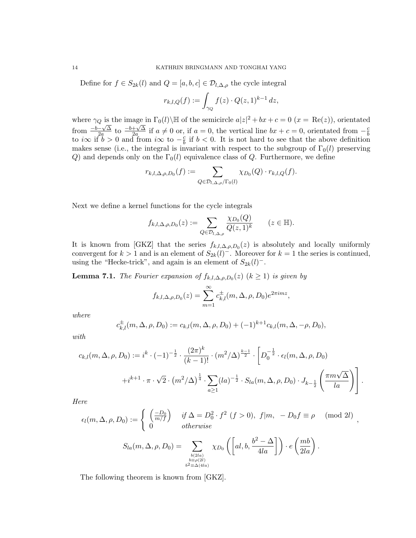Define for  $f \in S_{2k}(l)$  and  $Q = [a, b, c] \in \mathcal{D}_{l, \Delta, \rho}$  the cycle integral

$$
r_{k,l,Q}(f) := \int_{\gamma_Q} f(z) \cdot Q(z,1)^{k-1} dz,
$$

where  $\gamma_Q$  is the image in  $\Gamma_0(l)\backslash\mathbb{H}$  of the semicircle  $a|z|^2 + bx + c = 0$   $(x = \text{Re}(z))$ , orientated  $\frac{-b-\sqrt{\Delta}}{2a}$  $\frac{-\sqrt{\Delta}}{2a}$  to  $\frac{-b+\sqrt{\Delta}}{2a}$  $\frac{+\sqrt{\Delta}}{2a}$  if  $a \neq 0$  or, if  $a = 0$ , the vertical line  $bx + c = 0$ , orientated from  $-\frac{c}{b}$  $\frac{1}{2a}$  to  $\frac{1}{2a}$  is  $\frac{1}{2a}$  if  $a \neq 0$  of, if  $a = 0$ , the vertical line  $ax + c = 0$ , orientated from  $-\frac{1}{b}$ <br>to  $i\infty$  if  $b > 0$  and from  $i\infty$  to  $-\frac{c}{b}$  if  $b < 0$ . It is not hard to see that the above defi  $\frac{c}{b}$  if  $b < 0$ . It is not hard to see that the above definition makes sense (i.e., the integral is invariant with respect to the subgroup of  $\Gamma_0(l)$  preserving Q) and depends only on the  $\Gamma_0(l)$  equivalence class of Q. Furthermore, we define

$$
r_{k,l,\Delta,\rho,D_0}(f) := \sum_{Q \in \mathcal{D}_{l,\Delta,\rho}/\Gamma_0(l)} \chi_{D_0}(Q) \cdot r_{k,l,Q}(f).
$$

Next we define a kernel functions for the cycle integrals

$$
f_{k,l,\Delta,\rho,D_0}(z) := \sum_{Q \in \mathcal{D}_{l,\Delta,\rho}} \frac{\chi_{D_0}(Q)}{Q(z,1)^k} \qquad (z \in \mathbb{H}).
$$

It is known from [GKZ] that the series  $f_{k,l,\Delta,\rho,D_0}(z)$  is absolutely and locally uniformly convergent for  $k > 1$  and is an element of  $S_{2k}(l)$ <sup>-</sup>. Moreover for  $k = 1$  the series is continued, using the "Hecke-trick", and again is an element of  $S_{2k}(l)^-$ .

**Lemma 7.1.** The Fourier expansion of  $f_{k,l,\Delta,\rho,D_0}(z)$   $(k \ge 1)$  is given by

$$
f_{k,l,\Delta,\rho,D_0}(z) = \sum_{m=1}^{\infty} c_{k,l}^{\pm}(m,\Delta,\rho,D_0)e^{2\pi imz},
$$

where

$$
c_{k,l}^{\pm}(m,\Delta,\rho,D_0) := c_{k,l}(m,\Delta,\rho,D_0) + (-1)^{k+1}c_{k,l}(m,\Delta,-\rho,D_0),
$$

with

$$
c_{k,l}(m,\Delta,\rho,D_0) := i^k \cdot (-1)^{-\frac{1}{2}} \cdot \frac{(2\pi)^k}{(k-1)!} \cdot (m^2/\Delta)^{\frac{k-1}{2}} \cdot \left[ D_0^{-\frac{1}{2}} \cdot \epsilon_l(m,\Delta,\rho,D_0) \right.
$$

$$
+ i^{k+1} \cdot \pi \cdot \sqrt{2} \cdot (m^2/\Delta)^{\frac{1}{4}} \cdot \sum_{a \ge 1} (l a)^{-\frac{1}{2}} \cdot S_{l a}(m,\Delta,\rho,D_0) \cdot J_{k-\frac{1}{2}} \left( \frac{\pi m \sqrt{\Delta}}{l a} \right) \right].
$$

Here

$$
\epsilon_l(m, \Delta, \rho, D_0) := \begin{cases} \left(\frac{-D_0}{m/f}\right) & \text{if } \Delta = D_0^2 \cdot f^2 \ (f > 0), \ f|m, \ -D_0 f \equiv \rho \pmod{2l} \\ 0 & \text{otherwise} \end{cases}
$$

$$
S_{la}(m, \Delta, \rho, D_0) = \sum_{\substack{b(2la) \\ b \equiv \rho(2l) \\ b^2 \equiv \Delta(4la)}} \chi_{D_0}\left(\left[al, b, \frac{b^2 - \Delta}{4la}\right]\right) \cdot e\left(\frac{mb}{2la}\right)
$$

.

The following theorem is known from [GKZ].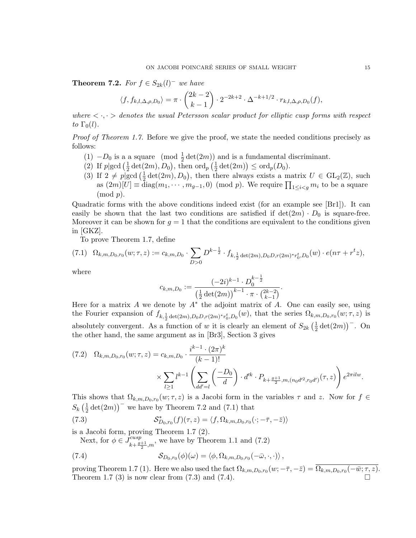**Theorem 7.2.** For  $f \in S_{2k}(l)^{-1}$  we have

$$
\langle f, f_{k,l,\Delta,\rho,D_0} \rangle = \pi \cdot {2k-2 \choose k-1} \cdot 2^{-2k+2} \cdot \Delta^{-k+1/2} \cdot r_{k,l,\Delta,\rho,D_0}(f),
$$

where  $\langle \cdot, \cdot \rangle$  denotes the usual Petersson scalar product for elliptic cusp forms with respect to  $\Gamma_0(l)$ .

Proof of Theorem 1.7. Before we give the proof, we state the needed conditions precisely as follows:

- (1)  $-D_0$  is a a square (mod  $\frac{1}{2}$  det(2*m*)) and is a fundamental discriminant.
- (2) If  $p\vert \gcd\left(\frac{1}{2}\right)$  $\frac{1}{2}\det(2m), D_0$ , then  $\operatorname{ord}_p\left(\frac{1}{2}\right)$  $\frac{1}{2} \det(2m) \leq \text{ord}_p(D_0).$
- (3) If  $2 \neq p \geq \lfloor \frac{1}{2} \rfloor$  $\frac{1}{2} \det(2m), D_0$ , then there always exists a matrix  $U \in GL_2(\mathbb{Z})$ , such as  $(2m)[U] \equiv \text{diag}(m_1, \dots, m_{g-1}, 0) \pmod{p}$ . We require  $\prod_{1 \leq i < g} m_i$  to be a square  $\pmod{p}$ .

Quadratic forms with the above conditions indeed exist (for an example see [Br1]). It can easily be shown that the last two conditions are satisfied if  $det(2m) \cdot D_0$  is square-free. Moreover it can be shown for  $g = 1$  that the conditions are equivalent to the conditions given in [GKZ].

To prove Theorem 1.7, define

$$
(7.1) \ \Omega_{k,m,D_0,r_0}(w;\tau,z) := c_{k,m,D_0} \cdot \sum_{D>0} D^{k-\frac{1}{2}} \cdot f_{k,\frac{1}{2}\det(2m),D_0D,r(2m)^*r_0^t,D_0}(w) \cdot e(n\tau+r^tz),
$$

where

$$
c_{k,m,D_0} := \frac{(-2i)^{k-1} \cdot D_0^{k-\frac{1}{2}}}{\left(\frac{1}{2}\det(2m)\right)^{k-1} \cdot \pi \cdot {2k-2 \choose k-1}}.
$$

Here for a matrix  $A$  we denote by  $A^*$  the adjoint matrix of  $A$ . One can easily see, using the Fourier expansion of  $f_{k,1/2}$   $_{det(2m),D_0D,r(2m)*r_0^t,D_0}(w)$ , that the series  $\Omega_{k,m,D_0,r_0}(w;\tau,z)$  is absolutely convergent. As a function of w it is clearly an element of  $S_{2k}(\frac{1}{2})$  $\frac{1}{2}\det(2m)\big)$ <sup>-</sup>. On the other hand, the same argument as in [Br3], Section 3 gives

$$
(7.2) \quad \Omega_{k,m,D_0,r_0}(w;\tau,z) = c_{k,m,D_0} \cdot \frac{i^{k-1} \cdot (2\pi)^k}{(k-1)!} \times \sum_{l \ge 1} l^{k-1} \left( \sum_{dd'=l} \left( \frac{-D_0}{d} \right) \cdot d'^k \cdot P_{k+\frac{g+1}{2},m,(n_0d'^2, r_0d') }(\tau,z) \right) e^{2\pi i l w}.
$$

This shows that  $\Omega_{k,m,D_0,r_0}(w;\tau,z)$  is a Jacobi form in the variables  $\tau$  and z. Now for  $f \in$  $S_k\left(\frac{1}{2}\right)$  $\frac{1}{2}$  det(2*m*))<sup>-</sup> we have by Theorem 7.2 and (7.1) that

(7.3) 
$$
\mathcal{S}_{D_0,r_0}^*(f)(\tau,z) = \langle f, \Omega_{k,m,D_0,r_0}(\cdot; -\overline{\tau}, -\overline{z}) \rangle
$$

is a Jacobi form, proving Theorem 1.7 (2).

Next, for  $\phi \in \widetilde{J}^{cusp}_{l+q}$  $\frac{cusp}{k+\frac{g+1}{2},m}$ , we have by Theorem 1.1 and (7.2)

(7.4) 
$$
\mathcal{S}_{D_0,r_0}(\phi)(\omega) = \langle \phi, \Omega_{k,m,D_0,r_0}(-\bar{\omega}, \cdot, \cdot) \rangle,
$$

proving Theorem 1.7 (1). Here we also used the fact  $\Omega_{k,m,D_0,r_0}(w; -\bar{\tau}, -\bar{z}) = \Omega_{k,m,D_0,r_0}(-\bar{w}; \tau, z)$ . Theorem 1.7  $(3)$  is now clear from  $(7.3)$  and  $(7.4)$ .